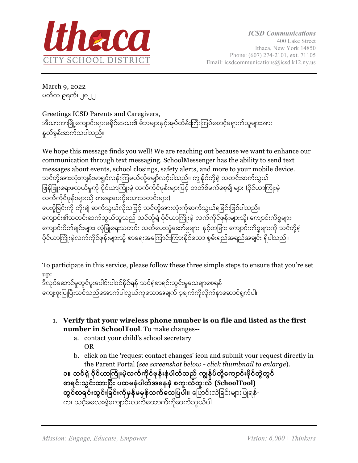

March 9, 2022 မတ်လ ၉ရက်၊ ၂၀၂၂

Greetings ICSD Parents and Caregivers, အီသာကာမြို့ကျောင်းများခရိုင်ဒေသ၏ မိဘများနှင့်အုပ်ထိန်းကြီးကြပ်စောင့်ရှောက်သူများအား နုတ်ခွန်းဆက်သပါသည်။

We hope this message finds you well! We are reaching out because we want to enhance our communication through text messaging. SchoolMessenger has the ability to send text messages about events, school closings, safety alerts, and more to your mobile device. သင်တို့အားလုံးကျန်းမာရွင်လန်းကြမယ်လို့မျှော်လင့်ပါသည်။ ကျွန်ုပ်တို့ရဲ့ သတင်းဆက်သွယ် ဖြန်ဖြူးရေးဖလှယ်မှုကို ဝိုင်ယာကြိုးမဲ့ လက်ကိုင်ဖုန်းများဖြင့် တတ်စ်မက်စေ့ချ် များ (ဝိုင်ယာကြိုးမဲ့ လက်ကိုင်ဖုန်းများသို့ စာရေးပေးပို့သောသတင်းများ) ပေးပို့ခြင်းကို တိုးချဲ့ဆက်သွယ်လိုသဖြင့် သင်တို့အားလုံးကိုဆက်သွယ်ရခြင်းဖြစ်ပါသည်။ ကျောင်း၏သတင်းဆက်သွယ်သူသည် သင်တို့ရဲ့ ဝိုင်ယာကြိုးမဲ့ လက်ကိုင်ဖုန်းများသို့၊ ကျောင်းကိစ္စများ၊ ကျောင်းပိတ်ချင်းများ၊ လုံခြုံရေးသတင်း သတိပေးလုံ့ဆော်မူများ၊ နှင့်တခြား ကျောင်းကိစ္စများကို သင်တို့ရဲ့ ဝိုင်ယာကြိုးမဲ့လက်ကိုင်ဖုန်းများသို့ စာရေးအကြောင်းကြားနိုင်သော စွမ်းရည်အရည်အချင်း ရှိပါသည်။

To participate in this service, please follow these three simple steps to ensure that you're set up:

ဒီလုပ်ဆောင်မှုတွင်ပူးပေါင်းပါဝင်နိုင်ရန် သင်ရဲစာရင်းသွင်းမှုသေချာစေရန် ကျေးဇူးပြုပြီးသင်သည်အောက်ပါလွယ်ကူသောအချက် ၃ချက်ကိုလိုက်နာဆောင်ရွက်ပါ၊

- 1. **Verify that your wireless phone number is on file and listed as the first number in SchoolTool**. To make changes-
	- a. contact your child's school secretary OR
	- b. click on the 'request contact changes' icon and submit your request directly in the Parent Portal (*see screenshot below - click thumbnail to enlarge*).

<mark>၁။</mark> သင်ရဲ့ဝိုင်ယာကြိုးမဲ့လက်ကိုင်ဖုန်းနံပါတ်သည် ကျွန်ုပ်တို့ကျောင်းဖိုင်တွဲတွင် စာရင်းသွင်းထားပြီး ပထမနံပါတ်အနေနဲ့ စကူးလ်တူးလ် (SchoolTool) **တွင်စာရင်းသွင်းခြင်းကိုမှန်မမှန်သက်သေပြပါ။** ပြောင်းလဲခြင်းများပြုရန်-က၊ သင့်ခလေးရဲကျောင်းလက်ထောက်ကိုဆက်သွယ်ပါ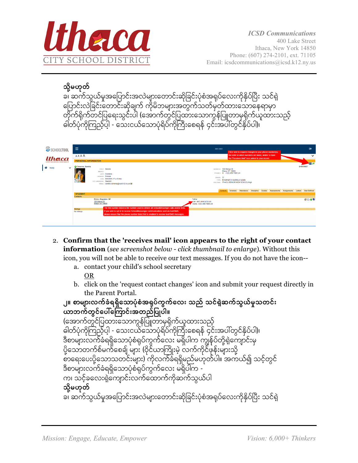



| S SCHOOLTOOL                                       | Ξ                                                                                                                                                                                              |                                                       |                                                                                                                                                                                 |  |  |  |  |                                                       |                                                                                                                                                                                                                              | 2021-2022 |  | Click here to request changes to your phone number(s),                                                  |                         |  |  | $\bullet$    |
|----------------------------------------------------|------------------------------------------------------------------------------------------------------------------------------------------------------------------------------------------------|-------------------------------------------------------|---------------------------------------------------------------------------------------------------------------------------------------------------------------------------------|--|--|--|--|-------------------------------------------------------|------------------------------------------------------------------------------------------------------------------------------------------------------------------------------------------------------------------------------|-----------|--|---------------------------------------------------------------------------------------------------------|-------------------------|--|--|--------------|
| <i><b>Ithaca</b></i><br><b>CITY SCHOOL DISTRIC</b> | AAAA<br><b>PERSONAL INFORMATION</b>                                                                                                                                                            |                                                       |                                                                                                                                                                                 |  |  |  |  |                                                       |                                                                                                                                                                                                                              |           |  | the order in which numbers are listed, and/or to have<br>the "Receives Mail" icon added to your record. |                         |  |  | $\checkmark$ |
| $\bigwedge^{\infty}$ Home<br>$\checkmark$          | Cisneros, Sandra<br>FIRST: Sandra<br>MIDDLE:<br>LAST: Cisneros<br><b>GENDER: Female</b><br>poe: 9/5/2004 (17 yr 6 mo)<br><b>1ST LANGUAGE: Spanish</b><br>EMAIL: sandra.cisneros@icsd.k12.ny.us |                                                       |                                                                                                                                                                                 |  |  |  |  | ADDRESS: 100 Mango St<br>GRADE: 11<br><b>Contacts</b> | Ithaca, NY 14850<br>PHONES: H: (123) 456-7890 Unl<br>TYPE: Enrollment in building or grade<br>BUILDING: ITHACA SENIOR HIGH SCHOOL/High<br>Schedule Attendance Discipline Grades Assessments Assignments Letters User-Defined |           |  |                                                                                                         | <b>BIP</b><br>910010007 |  |  |              |
|                                                    | <b>STUDENT</b>                                                                                                                                                                                 |                                                       |                                                                                                                                                                                 |  |  |  |  |                                                       |                                                                                                                                                                                                                              |           |  |                                                                                                         |                         |  |  |              |
|                                                    | <b>Contacts</b>                                                                                                                                                                                |                                                       |                                                                                                                                                                                 |  |  |  |  |                                                       |                                                                                                                                                                                                                              |           |  |                                                                                                         |                         |  |  |              |
|                                                    |                                                                                                                                                                                                | Elvira Anguiano M<br>100 Mango St<br>Ithaca, NY 14850 |                                                                                                                                                                                 |  |  |  |  | Father<br>Cell: (987) 654-3210 Uni                    | Home: (123) 456-7890 Uni                                                                                                                                                                                                     |           |  |                                                                                                         |                         |  |  | 合适合理         |
|                                                    | <b>Siblings</b>                                                                                                                                                                                |                                                       | The first number listed is the number used to deliver all SchoolMessenger calls and/or texts.                                                                                   |  |  |  |  |                                                       |                                                                                                                                                                                                                              |           |  |                                                                                                         |                         |  |  |              |
|                                                    | No siblings                                                                                                                                                                                    |                                                       | If you wish to opt-in to receive SchoolMessenger communications sent via text/SMS,<br>please ensure that the phone number listed first is enabled to receive text/SMS messages. |  |  |  |  |                                                       |                                                                                                                                                                                                                              |           |  |                                                                                                         |                         |  |  |              |

- 2. **Confirm that the 'receives mail' icon appears to the right of your contact information** (*see screenshot below - click thumbnail to enlarge*). Without this icon, you will not be able to receive our text messages. If you do not have the icon-
	- a. contact your child's school secretary
		- OR
	- b. click on the 'request contact changes' icon and submit your request directly in the Parent Portal.

```
၂။ စာများလက်ခံရရှိသောပုံစံအရှပ်ကွက်လေး သည် သင်ရဲ့ဆက်သွယ်မှုသတင်း
ယာဘက်တွင်ပေါ်ကြောင်းအတည်ပြုပါ။
(အောက်တွင်ပြထားသောကွန်ပြူတာမှရှိက်ယူထားသည့်
စ်<br>ခါတ်ပုံကိုကြည့်ပါ - သေးငယ်သောပုံရိပ်ကိုကြီးစေရန် ၄င်းအပါတွင်နိုပ်ပါ)၊
ဒီစာများလက်ခံရရှိသောပုံစံရုပ်ကွက်လေး မရှိပါက ကျွန်ုပ်တို့ရဲ့ကျောင်းမှ
ပို့သောတက်စ်မက်စေချ် များ (ဝိုင်ယာကြိုးမဲ့ လက်ကိုင်ဖုန်းများသို့
စာရေးပေးပို့သောသတင်းများ) ကိုလက်ခံရရှိမည်မဟုတ်ပါ။ အကယ်၍ သင့်တွင်
ဒီစာများလက်ခံရရှိသောပုံစံရုပ်ကွက်လေး မရှိပါက -
က၊ သင့်ခလေးရှဲကျောင်းလက်ထောက်ကိုဆက်သွယ်ပါ
<u>သို့</u>မဟုတ်
္.<br>ခ၊ ဆက်သွယ်မှုအပြောင်းအလဲများတောင်းဆိုခြင်းပုံစံအရုပ်လေးကိုနိုပ်ပြီး သင်ရဲ
```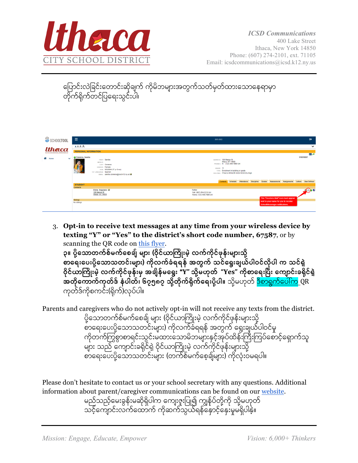

| ပြောင်းလဲခြင်းတောင်းဆိုချက် ကိုမိဘများအတွက်သတ်မှတ်ထားသောနေရာမှာ<br>တိုက်ရိုက်တင်ပြရေးသွင်းပါ၊ |  |
|-----------------------------------------------------------------------------------------------|--|
|                                                                                               |  |
|                                                                                               |  |

| SS SCHOOLTOOL                     | $\equiv$                                                                                                                                                                         | 2021-2022                                                                                                                                                                    | $\leftrightarrow$ |  |  |
|-----------------------------------|----------------------------------------------------------------------------------------------------------------------------------------------------------------------------------|------------------------------------------------------------------------------------------------------------------------------------------------------------------------------|-------------------|--|--|
| <b>Uthaca</b>                     | AAAA                                                                                                                                                                             |                                                                                                                                                                              | $\checkmark$      |  |  |
| <b>CITY SCHOOL DISTRICT</b>       | <b>PERSONAL INFORMATION</b>                                                                                                                                                      |                                                                                                                                                                              | 田戸                |  |  |
| $\bigotimes$ Home<br>$\checkmark$ | Cisneros, Sandra<br>FIRST: Sandra<br>MIDDLE:<br>LAST: Cisneros<br>GENDER: Female<br>DOB: 9/5/2004 (17 yr 6 mo)<br>1ST LANGUAGE: Spanish<br>EMAIL: sandra.cisneros@icsd.k12.ny.us | ADDRESS: 100 Mango St<br>Ithaca, NY 14850<br>PHONES: H: (123) 456-7890 Uni<br>GRADE: 11<br>TYPE: Enrollment in building or grade<br>BUILDING: ITHACA SENIOR HIGH SCHOOL/High | 910010007         |  |  |
|                                   |                                                                                                                                                                                  | Contacts Schedule Attendance Discipline Grades Assessments Assignments Letters User-Defined                                                                                  |                   |  |  |
|                                   | <b>STUDENT</b><br><b>Contacts</b>                                                                                                                                                |                                                                                                                                                                              |                   |  |  |
|                                   | Elvira Anguiano ≥1<br>100 Mango St<br>Ithaca, NY 14850                                                                                                                           | Father<br>Cell: (987) 654-3210 Uni<br>Home: (123) 456-7890 Uni<br>This "Receives Mail" icon must appear                                                                      | 40 L              |  |  |
|                                   | <b>Siblings</b><br>No siblings                                                                                                                                                   | next to your name for you to receive<br>SchoolMessenger notifications.                                                                                                       |                   |  |  |

3. **Opt-in to receive text messages at any time from your wireless device by texting "Y" or "Yes" to the district's short code number, 67587**, or by scanning the QR code on this flyer.

**၃။ ပို့သောတက်စ်မက်စေချ် များ (ဝိုင်ယာကြိုးမဲ့ လက်ကိုင်ဖုန်းများသို့** စာရေးပေးပို့သောသတင်းများ) ကိုလက်ခံရရန် အတွက် သင်ရွေးချယ်ပါဝင်လိုပါ က သင်ရဲ ဝိုင်ယာကြိုးမဲ့ လက်ကိုင်ဖုန်းမှ အချိန်မရွေး "Y" သို့မဟုတ် "Yes" ကိုစာရေးပြီး ကျောင်းခရိုင်ရဲ့ ာ အတိုကောက်ကုတ်ဒ် နံပါတ်၊ ၆၇၅၈၇ သို့တိုက်ရိုက်ရေးပို့ပါ။ သို့မဟုတ် <mark>ဒီစာရွက်ပေါ်က</mark> QR ကတ်ဒ်ကိုစကင်း(ရိုက်)လုပ်ပါ။

Parents and caregivers who do not actively opt-in will not receive any texts from the district. ပို့သောတက်စ်မက်စေချ် များ (ဝိုင်ယာကြိုးမဲ့ လက်ကိုင်ဖုန်းများသို့ စာရေးပေးပို့သောသတင်းများ) ကိုလက်ခံရရန် အတွက် ရွေးချယ်ပါဝင်မှု ကိုတက်ကြွစွာစာရင်းသွင်းမထားသောမိဘများနှင့်အုပ်ထိန်းကြီးကြပ်စောင့်ရှောက်သူ များ သည် ကျောင်းခရိုင်ရဲ့ ဝိုင်ယာကြိုးမဲ့ လက်ကိုင်ဖုန်းများသို့ စာရေးပေးပို့သောသတင်းများ (တက်စ်မက်စေ့ချုံများ) ကိုလုံးဝမရပါ။

Please don't hesitate to contact us or your school secretary with any questions. Additional information about parent/caregiver communications can be found on our website.

မည်သည့်မေးခွန်းမဆိုရှိပါက ကျေးဇူးပြု၍ ကျွန်ုပ်တို့ကို သို့မဟုတ် သင့်ကျောင်းလက်ထောက် ကိုဆက်သွယ်ရန်နောင့်နှေးမှုမရှိပါနဲ့။